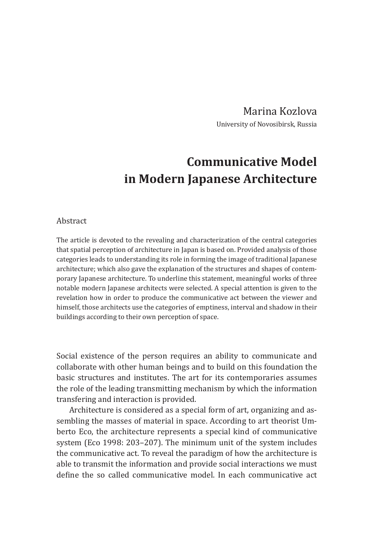Marina Kozlova University of Novosibirsk, Russia

## **Communicative Model in Modern Japanese Architecture**

## Abstract

The article is devoted to the revealing and characterization of the central categories that spatial perception of architecture in Japan is based on. Provided analysis of those categories leads to understanding its role in forming the image of traditional Japanese architecture; which also gave the explanation of the structures and shapes of contemporary Japanese architecture. To underline this statement, meaningful works of three notable modern Japanese architects were selected. A special attention is given to the revelation how in order to produce the communicative act between the viewer and himself, those architects use the categories of emptiness, interval and shadow in their buildings according to their own perception of space.

Social existence of the person requires an ability to communicate and collaborate with other human beings and to build on this foundation the basic structures and institutes. The art for its contemporaries assumes the role of the leading transmitting mechanism by which the information transfering and interaction is provided.

Architecture is considered as a special form of art, organizing and assembling the masses of material in space. According to art theorist Umberto Eco, the architecture represents a special kind of communicative system (Eco 1998: 203–207). The minimum unit of the system includes the communicative act. To reveal the paradigm of how the architecture is able to transmit the information and provide social interactions we must define the so called communicative model. In each communicative act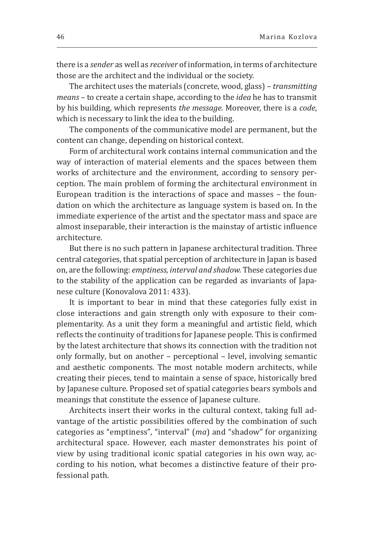there is a *sender* as well as *receiver* of information, in terms of architecture those are the architect and the individual or the society.

The architect uses the materials (concrete, wood, glass) – *transmitting means* – to create a certain shape, according to the *idea* he has to transmit by his building, which represents *the message.* Moreover, there is a *code*, which is necessary to link the idea to the building.

The components of the communicative model are permanent, but the content can change, depending on historical context.

Form of architectural work contains internal communication and the way of interaction of material elements and the spaces between them works of architecture and the environment, according to sensory perception. The main problem of forming the architectural environment in European tradition is the interactions of space and masses – the foundation on which the architecture as language system is based on. In the immediate experience of the artist and the spectator mass and space are almost inseparable, their interaction is the mainstay of artistic influence architecture.

But there is no such pattern in Japanese architectural tradition. Three central categories, that spatial perception of architecture in Japan is based on, are the following: *emptiness, interval and shadow.* These categories due to the stability of the application can be regarded as invariants of Japanese culture (Konovalova 2011: 433).

It is important to bear in mind that these categories fully exist in close interactions and gain strength only with exposure to their complementarity. As a unit they form a meaningful and artistic field, which reflects the continuity of traditions for Japanese people. This is confirmed by the latest architecture that shows its connection with the tradition not only formally, but on another – perceptional – level, involving semantic and aesthetic components. The most notable modern architects, while creating their pieces, tend to maintain a sense of space, historically bred by Japanese culture. Proposed set of spatial categories bears symbols and meanings that constitute the essence of Japanese culture.

Architects insert their works in the cultural context, taking full advantage of the artistic possibilities offered by the combination of such categories as "emptiness", "interval" (*ma*) and "shadow" for organizing architectural space. However, each master demonstrates his point of view by using traditional iconic spatial categories in his own way, according to his notion, what becomes a distinctive feature of their professional path.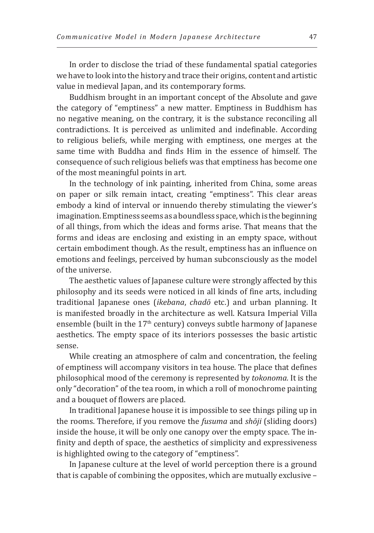In order to disclose the triad of these fundamental spatial categories we have to look into the history and trace their origins, content and artistic value in medieval Japan, and its contemporary forms.

Buddhism brought in an important concept of the Absolute and gave the category of "emptiness" a new matter. Emptiness in Buddhism has no negative meaning, on the contrary, it is the substance reconciling all contradictions. It is perceived as unlimited and indefinable. According to religious beliefs, while merging with emptiness, one merges at the same time with Buddha and finds Him in the essence of himself. The consequence of such religious beliefs was that emptiness has become one of the most meaningful points in art.

In the technology of ink painting, inherited from China, some areas on paper or silk remain intact, creating "emptiness". This clear areas embody a kind of interval or innuendo thereby stimulating the viewer's imagination. Emptiness seems as a boundless space, which is the beginning of all things, from which the ideas and forms arise. That means that the forms and ideas are enclosing and existing in an empty space, without certain embodiment though. As the result, emptiness has an influence on emotions and feelings, perceived by human subconsciously as the model of the universe.

The aesthetic values of Japanese culture were strongly affected by this philosophy and its seeds were noticed in all kinds of fine arts, including traditional Japanese ones (*ikebana*, *chadō* etc.) and urban planning. It is manifested broadly in the architecture as well. Katsura Imperial Villa ensemble (built in the 17th century) conveys subtle harmony of Japanese aesthetics. The empty space of its interiors possesses the basic artistic sense.

While creating an atmosphere of calm and concentration, the feeling of emptiness will accompany visitors in tea house. The place that defines philosophical mood of the ceremony is represented by *tokonoma.* It is the only "decoration" of the tea room, in which a roll of monochrome painting and a bouquet of flowers are placed.

In traditional Japanese house it is impossible to see things piling up in the rooms. Therefore, if you remove the *fusuma* and *shōji* (sliding doors) inside the house, it will be only one canopy over the empty space. The infinity and depth of space, the aesthetics of simplicity and expressiveness is highlighted owing to the category of "emptiness".

In Japanese culture at the level of world perception there is a ground that is capable of combining the opposites, which are mutually exclusive –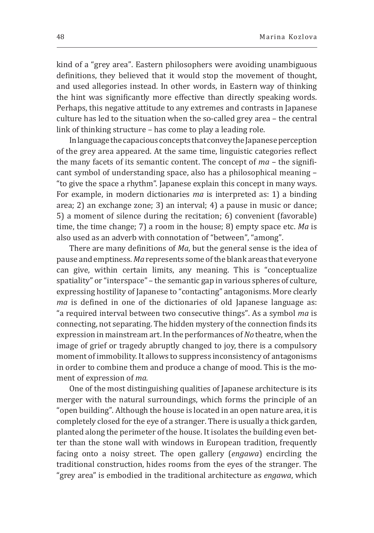kind of a "grey area". Eastern philosophers were avoiding unambiguous definitions, they believed that it would stop the movement of thought, and used allegories instead. In other words, in Eastern way of thinking the hint was significantly more effective than directly speaking words. Perhaps, this negative attitude to any extremes and contrasts in Japanese culture has led to the situation when the so-called grey area – the central link of thinking structure – has come to play a leading role.

In language the capacious concepts that convey the Japanese perception of the grey area appeared. At the same time, linguistic categories reflect the many facets of its semantic content. The concept of *ma* – the significant symbol of understanding space, also has a philosophical meaning – "to give the space a rhythm". Japanese explain this concept in many ways. For example, in modern dictionaries *ma* is interpreted as: 1) a binding area; 2) an exchange zone; 3) an interval; 4) a pause in music or dance; 5) a moment of silence during the recitation; 6) convenient (favorable) time, the time change; 7) a room in the house; 8) empty space etc. *Ma* is also used as an adverb with connotation of "between", "among".

There are many definitions of *Ma*, but the general sense is the idea of pause and emptiness. *Ma* represents some of the blank areas that everyone can give, within certain limits, any meaning. This is "conceptualize spatiality" or "interspace" – the semantic gap in various spheres of culture, expressing hostility of Japanese to "contacting" antagonisms. More clearly *ma* is defined in one of the dictionaries of old Japanese language as: "a required interval between two consecutive things". As a symbol *ma* is connecting, not separating. The hidden mystery of the connection finds its expression in mainstream art. In the performances of *No* theatre, when the image of grief or tragedy abruptly changed to joy, there is a compulsory moment of immobility. It allows to suppress inconsistency of antagonisms in order to combine them and produce a change of mood. This is the moment of expression of *ma.*

One of the most distinguishing qualities of Japanese architecture is its merger with the natural surroundings, which forms the principle of an "open building". Although the house is located in an open nature area, it is completely closed for the eye of a stranger. There is usually a thick garden, planted along the perimeter of the house. It isolates the building even better than the stone wall with windows in European tradition, frequently facing onto a noisy street. The open gallery (*engawa*) encircling the traditional construction, hides rooms from the eyes of the stranger. The "grey area" is embodied in the traditional architecture as *engawa*, which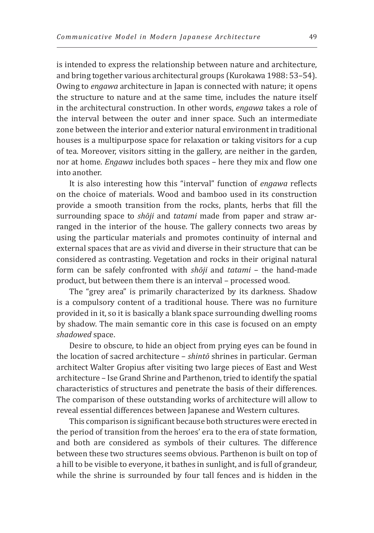is intended to express the relationship between nature and architecture, and bring together various architectural groups (Kurokawa 1988: 53–54). Owing to *engawa* architecture in Japan is connected with nature; it opens the structure to nature and at the same time, includes the nature itself in the architectural construction. In other words, *engawa* takes a role of the interval between the outer and inner space. Such an intermediate zone between the interior and exterior natural environment in traditional houses is a multipurpose space for relaxation or taking visitors for a cup of tea. Moreover, visitors sitting in the gallery, are neither in the garden, nor at home. *Engawa* includes both spaces – here they mix and flow one into another.

It is also interesting how this "interval" function of *engawa* reflects on the choice of materials. Wood and bamboo used in its construction provide a smooth transition from the rocks, plants, herbs that fill the surrounding space to *shōji* and *tatami* made from paper and straw arranged in the interior of the house. The gallery connects two areas by using the particular materials and promotes continuity of internal and external spaces that are as vivid and diverse in their structure that can be considered as contrasting. Vegetation and rocks in their original natural form can be safely confronted with *shōji* and *tatami* – the hand-made product, but between them there is an interval – processed wood.

The "grey area" is primarily characterized by its darkness. Shadow is a compulsory content of a traditional house. There was no furniture provided in it, so it is basically a blank space surrounding dwelling rooms by shadow. The main semantic core in this case is focused on an empty *shadowed* space.

Desire to obscure, to hide an object from prying eyes can be found in the location of sacred architecture – *shintō* shrines in particular. German architect Walter Gropius after visiting two large pieces of East and West architecture – Ise Grand Shrine and Parthenon, tried to identify the spatial characteristics of structures and penetrate the basis of their differences. The comparison of these outstanding works of architecture will allow to reveal essential differences between Japanese and Western cultures.

This comparison is significant because both structures were erected in the period of transition from the heroes' era to the era of state formation, and both are considered as symbols of their cultures. The difference between these two structures seems obvious. Parthenon is built on top of a hill to be visible to everyone, it bathes in sunlight, and is full of grandeur, while the shrine is surrounded by four tall fences and is hidden in the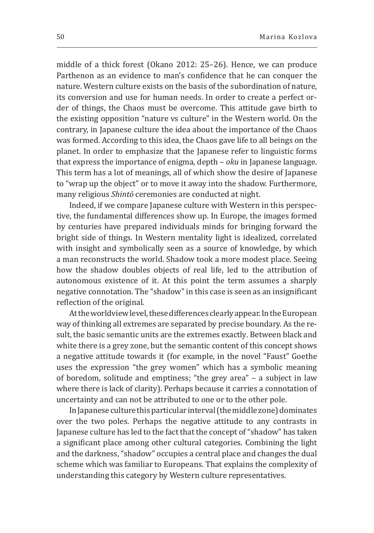middle of a thick forest (Okano 2012: 25–26). Hence, we can produce Parthenon as an evidence to man's confidence that he can conquer the nature. Western culture exists on the basis of the subordination of nature, its conversion and use for human needs. In order to create a perfect order of things, the Chaos must be overcome. This attitude gave birth to the existing opposition "nature vs culture" in the Western world. On the contrary, in Japanese culture the idea about the importance of the Chaos was formed. According to this idea, the Chaos gave life to all beings on the planet. In order to emphasize that the Japanese refer to linguistic forms that express the importance of enigma, depth – *oku* in Japanese language. This term has a lot of meanings, all of which show the desire of Japanese to "wrap up the object" or to move it away into the shadow. Furthermore, many religious *Shintō* ceremonies are conducted at night.

Indeed, if we compare Japanese culture with Western in this perspective, the fundamental differences show up. In Europe, the images formed by centuries have prepared individuals minds for bringing forward the bright side of things. In Western mentality light is idealized, correlated with insight and symbolically seen as a source of knowledge, by which a man reconstructs the world. Shadow took a more modest place. Seeing how the shadow doubles objects of real life, led to the attribution of autonomous existence of it. At this point the term assumes a sharply negative connotation. The "shadow" in this case is seen as an insignificant reflection of the original.

At the worldview level, these differences clearly appear. In the European way of thinking all extremes are separated by precise boundary. As the result, the basic semantic units are the extremes exactly. Between black and white there is a grey zone, but the semantic content of this concept shows a negative attitude towards it (for example, in the novel "Faust" Goethe uses the expression "the grey women" which has a symbolic meaning of boredom, solitude and emptiness; "the grey area" – a subject in law where there is lack of clarity). Perhaps because it carries a connotation of uncertainty and can not be attributed to one or to the other pole.

In Japanese culture this particular interval (the middle zone) dominates over the two poles. Perhaps the negative attitude to any contrasts in Japanese culture has led to the fact that the concept of "shadow" has taken a significant place among other cultural categories. Combining the light and the darkness, "shadow" occupies a central place and changes the dual scheme which was familiar to Europeans. That explains the complexity of understanding this category by Western culture representatives.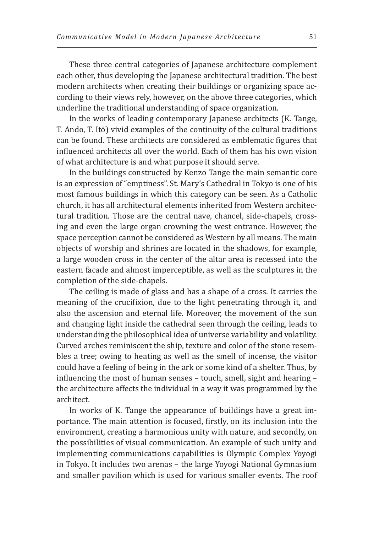These three central categories of Japanese architecture complement each other, thus developing the Japanese architectural tradition. The best modern architects when creating their buildings or organizing space according to their views rely, however, on the above three categories, which underline the traditional understanding of space organization.

In the works of leading contemporary Japanese architects (K. Tange, T. Ando, T. Itō) vivid examples of the continuity of the cultural traditions can be found. These architects are considered as emblematic figures that influenced architects all over the world. Each of them has his own vision of what architecture is and what purpose it should serve.

In the buildings constructed by Kenzo Tange the main semantic core is an expression of "emptiness". St. Mary's Cathedral in Tokyo is one of his most famous buildings in which this category can be seen. As a Catholic church, it has all architectural elements inherited from Western architectural tradition. Those are the central nave, chancel, side-chapels, crossing and even the large organ crowning the west entrance. However, the space perception cannot be considered as Western by all means. The main objects of worship and shrines are located in the shadows, for example, a large wooden cross in the center of the altar area is recessed into the eastern facade and almost imperceptible, as well as the sculptures in the completion of the side-chapels.

The ceiling is made of glass and has a shape of a cross. It carries the meaning of the crucifixion, due to the light penetrating through it, and also the ascension and eternal life. Moreover, the movement of the sun and changing light inside the cathedral seen through the ceiling, leads to understanding the philosophical idea of universe variability and volatility. Curved arches reminiscent the ship, texture and color of the stone resembles a tree; owing to heating as well as the smell of incense, the visitor could have a feeling of being in the ark or some kind of a shelter. Thus, by influencing the most of human senses – touch, smell, sight and hearing – the architecture affects the individual in a way it was programmed by the architect.

In works of K. Tange the appearance of buildings have a great importance. The main attention is focused, firstly, on its inclusion into the environment, creating a harmonious unity with nature, and secondly, on the possibilities of visual communication. An example of such unity and implementing communications capabilities is Olympic Complex Yoyogi in Tokyo. It includes two arenas – the large Yoyogi National Gymnasium and smaller pavilion which is used for various smaller events. The roof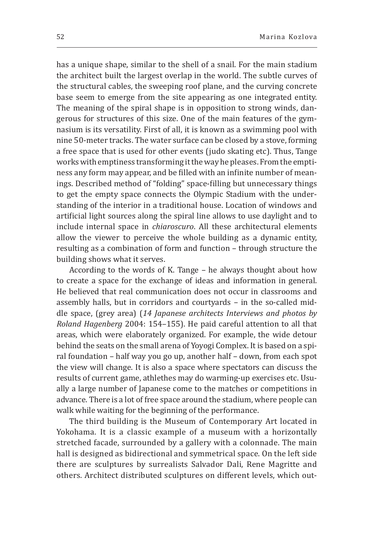has a unique shape, similar to the shell of a snail. For the main stadium the architect built the largest overlap in the world. The subtle curves of the structural cables, the sweeping roof plane, and the curving concrete base seem to emerge from the site appearing as one integrated entity. The meaning of the spiral shape is in opposition to strong winds, dangerous for structures of this size. One of the main features of the gymnasium is its versatility. First of all, it is known as a swimming pool with nine 50-meter tracks. The water surface can be closed by a stove, forming a free space that is used for other events (judo skating etc). Thus, Tange works with emptiness transforming it the way he pleases. From the emptiness any form may appear, and be filled with an infinite number of meanings. Described method of "folding" space-filling but unnecessary things to get the empty space connects the Olympic Stadium with the understanding of the interior in a traditional house. Location of windows and artificial light sources along the spiral line allows to use daylight and to include internal space in *chiaroscuro*. All these architectural elements allow the viewer to perceive the whole building as a dynamic entity, resulting as a combination of form and function – through structure the building shows what it serves.

According to the words of K. Tange – he always thought about how to create a space for the exchange of ideas and information in general. He believed that real communication does not occur in classrooms and assembly halls, but in corridors and courtyards – in the so-called middle space, (grey area) (*14 Japanese architects Interviews and photos by Roland Hagenberg* 2004: 154–155). He paid careful attention to all that areas, which were elaborately organized. For example, the wide detour behind the seats on the small arena of Yoyogi Complex. It is based on a spiral foundation – half way you go up, another half – down, from each spot the view will change. It is also a space where spectators can discuss the results of current game, athlethes may do warming-up exercises etc. Usually a large number of Japanese come to the matches or competitions in advance. There is a lot of free space around the stadium, where people can walk while waiting for the beginning of the performance.

The third building is the Museum of Contemporary Art located in Yokohama. It is a classic example of a museum with a horizontally stretched facade, surrounded by a gallery with a colonnade. The main hall is designed as bidirectional and symmetrical space. On the left side there are sculptures by surrealists Salvador Dali, Rene Magritte and others. Architect distributed sculptures on different levels, which out-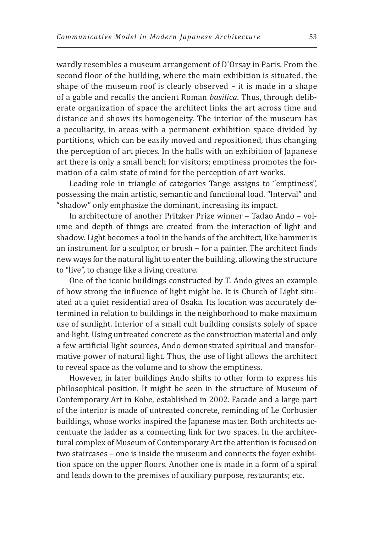wardly resembles a museum arrangement of D'Orsay in Paris. From the second floor of the building, where the main exhibition is situated, the shape of the museum roof is clearly observed – it is made in a shape of a gable and recalls the ancient Roman *basilica*. Thus, through deliberate organization of space the architect links the art across time and distance and shows its homogeneity. The interior of the museum has a peculiarity, in areas with a permanent exhibition space divided by partitions, which can be easily moved and repositioned, thus changing the perception of art pieces. In the halls with an exhibition of Japanese art there is only a small bench for visitors; emptiness promotes the formation of a calm state of mind for the perception of art works.

Leading role in triangle of categories Tange assigns to "emptiness", possessing the main artistic, semantic and functional load. "Interval" and "shadow" only emphasize the dominant, increasing its impact.

In architecture of another Pritzker Prize winner – Tadao Ando – volume and depth of things are created from the interaction of light and shadow. Light becomes a tool in the hands of the architect, like hammer is an instrument for a sculptor, or brush – for a painter. The architect finds new ways for the natural light to enter the building, allowing the structure to "live", to change like a living creature.

One of the iconic buildings constructed by T. Ando gives an example of how strong the influence of light might be. It is Church of Light situated at a quiet residential area of Osaka. Its location was accurately determined in relation to buildings in the neighborhood to make maximum use of sunlight. Interior of a small cult building consists solely of space and light. Using untreated concrete as the construction material and only a few artificial light sources, Ando demonstrated spiritual and transformative power of natural light. Thus, the use of light allows the architect to reveal space as the volume and to show the emptiness.

However, in later buildings Ando shifts to other form to express his philosophical position. It might be seen in the structure of Museum of Contemporary Art in Kobe, established in 2002. Facade and a large part of the interior is made of untreated concrete, reminding of Le Corbusier buildings, whose works inspired the Japanese master. Both architects accentuate the ladder as a connecting link for two spaces. In the architectural complex of Museum of Contemporary Art the attention is focused on two staircases – one is inside the museum and connects the foyer exhibition space on the upper floors. Another one is made in a form of a spiral and leads down to the premises of auxiliary purpose, restaurants; etc.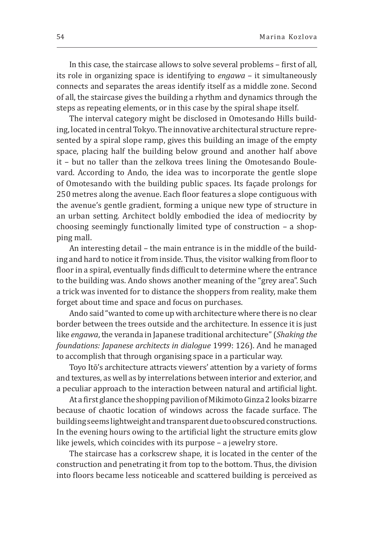In this case, the staircase allows to solve several problems – first of all, its role in organizing space is identifying to *engawa* – it simultaneously connects and separates the areas identify itself as a middle zone. Second of all, the staircase gives the building a rhythm and dynamics through the steps as repeating elements, or in this case by the spiral shape itself.

The interval category might be disclosed in Omotesando Hills building, located in central Tokyo. The innovative architectural structure represented by a spiral slope ramp, gives this building an image of the empty space, placing half the building below ground and another half above it – but no taller than the zelkova trees lining the Omotesando Boulevard. According to Ando, the idea was to incorporate the gentle slope of Omotesando with the building public spaces. Its façade prolongs for 250 metres along the avenue. Each floor features a slope contiguous with the avenue's gentle gradient, forming a unique new type of structure in an urban setting. Architect boldly embodied the idea of mediocrity by choosing seemingly functionally limited type of construction – a shopping mall.

An interesting detail – the main entrance is in the middle of the building and hard to notice it from inside. Thus, the visitor walking from floor to floor in a spiral, eventually finds difficult to determine where the entrance to the building was. Ando shows another meaning of the "grey area". Such a trick was invented for to distance the shoppers from reality, make them forget about time and space and focus on purchases.

Ando said "wanted to come up with architecture where there is no clear border between the trees outside and the architecture. In essence it is just like *engawa*, the veranda in Japanese traditional architecture" (*Shaking the foundations: Japanese architects in dialogue* 1999: 126). And he managed to accomplish that through organising space in a particular way.

Toyo Itō's architecture attracts viewers' attention by a variety of forms and textures, as well as by interrelations between interior and exterior, and a peculiar approach to the interaction between natural and artificial light.

At a first glance the shopping pavilion of Mikimoto Ginza 2 looks bizarre because of chaotic location of windows across the facade surface. The building seems lightweight and transparent due to obscured constructions. In the evening hours owing to the artificial light the structure emits glow like jewels, which coincides with its purpose – a jewelry store.

The staircase has a corkscrew shape, it is located in the center of the construction and penetrating it from top to the bottom. Thus, the division into floors became less noticeable and scattered building is perceived as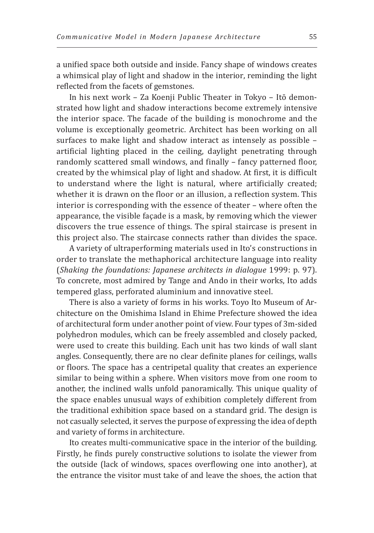a unified space both outside and inside. Fancy shape of windows creates a whimsical play of light and shadow in the interior, reminding the light reflected from the facets of gemstones.

In his next work – Za Koenji Public Theater in Tokyo – Itō demonstrated how light and shadow interactions become extremely intensive the interior space. The facade of the building is monochrome and the volume is exceptionally geometric. Architect has been working on all surfaces to make light and shadow interact as intensely as possible – artificial lighting placed in the ceiling, daylight penetrating through randomly scattered small windows, and finally – fancy patterned floor, created by the whimsical play of light and shadow. At first, it is difficult to understand where the light is natural, where artificially created; whether it is drawn on the floor or an illusion, a reflection system. This interior is corresponding with the essence of theater – where often the appearance, the visible façade is a mask, by removing which the viewer discovers the true essence of things. The spiral staircase is present in this project also. The staircase connects rather than divides the space.

A variety of ultraperforming materials used in Ito's constructions in order to translate the methaphorical architecture language into reality (*Shaking the foundations: Japanese architects in dialogue* 1999: p. 97). To concrete, most admired by Tange and Ando in their works, Ito adds tempered glass, perforated aluminium and innovative steel.

There is also a variety of forms in his works. Toyo Ito Museum of Architecture on the Omishima Island in Ehime Prefecture showed the idea of architectural form under another point of view. Four types of 3m-sided polyhedron modules, which can be freely assembled and closely packed, were used to create this building. Each unit has two kinds of wall slant angles. Consequently, there are no clear definite planes for ceilings, walls or floors. The space has a centripetal quality that creates an experience similar to being within a sphere. When visitors move from one room to another, the inclined walls unfold panoramically. This unique quality of the space enables unusual ways of exhibition completely different from the traditional exhibition space based on a standard grid. The design is not casually selected, it serves the purpose of expressing the idea of depth and variety of forms in architecture.

Ito creates multi-communicative space in the interior of the building. Firstly, he finds purely constructive solutions to isolate the viewer from the outside (lack of windows, spaces overflowing one into another), at the entrance the visitor must take of and leave the shoes, the action that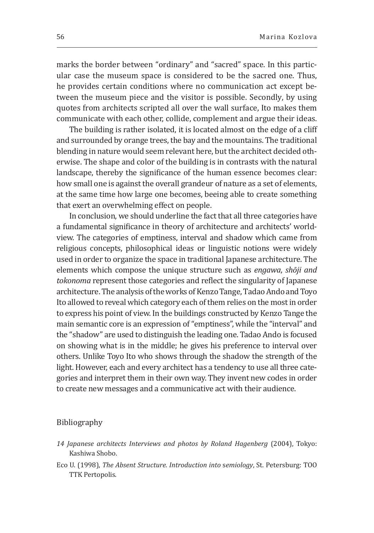marks the border between "ordinary" and "sacred" space. In this particular case the museum space is considered to be the sacred one. Thus, he provides certain conditions where no communication act except between the museum piece and the visitor is possible. Secondly, by using quotes from architects scripted all over the wall surface, Ito makes them communicate with each other, collide, complement and argue their ideas.

The building is rather isolated, it is located almost on the edge of a cliff and surrounded by orange trees, the bay and the mountains. The traditional blending in nature would seem relevant here, but the architect decided otherwise. The shape and color of the building is in contrasts with the natural landscape, thereby the significance of the human essence becomes clear: how small one is against the overall grandeur of nature as a set of elements, at the same time how large one becomes, beeing able to create something that exert an overwhelming effect on people.

In conclusion, we should underline the fact that all three categories have a fundamental significance in theory of architecture and architects' worldview. The categories of emptiness, interval and shadow which came from religious concepts, philosophical ideas or linguistic notions were widely used in order to organize the space in traditional Japanese architecture. The elements which compose the unique structure such as *engawa*, *shōji and tokonoma* represent those categories and reflect the singularity of Japanese architecture. The analysis of the works of Kenzo Tange, Tadao Ando and Toyo Ito allowed to reveal which category each of them relies on the most in order to express his point of view. In the buildings constructed by Kenzo Tange the main semantic core is an expression of "emptiness", while the "interval" and the "shadow" are used to distinguish the leading one. Tadao Ando is focused on showing what is in the middle; he gives his preference to interval over others. Unlike Toyo Ito who shows through the shadow the strength of the light. However, each and every architect has a tendency to use all three categories and interpret them in their own way. They invent new codes in order to create new messages and a communicative act with their audience.

## Bibliography

- *14 Japanese architects Interviews and photos by Roland Hagenberg* (2004), Tokyo: Kashiwa Shobo.
- Eco U. (1998), *The Absent Structure. Introduction into* s*emiology*, St. Petersburg: TOO TTK Pertopolis.